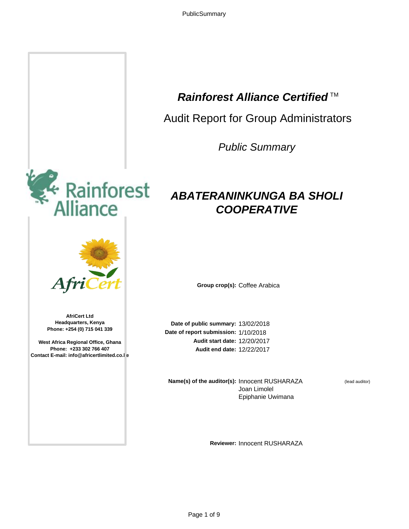# **Rainforest Alliance Certified**™

Audit Report for Group Administrators

*Public Summary*

# *ABATERANINKUNGA BA SHOLI COOPERATIVE*

**Group crop(s):** Coffee Arabica

Date of public summary: 13/02/2018 Date of report submission: 1/10/2018 12/20/2017 **Audit start date:** 12/22/2017 **Audit end date:**

**Name(s) of the auditor(s): Innocent RUSHARAZA** Joan Limolel Epiphanie Uwimana

(lead auditor)

**Reviewer:** Innocent RUSHARAZA



**AfriCert Ltd Headquarters, Kenya Phone: +254 (0) 715 041 339**

**West Africa Regional Office, Ghana Phone: +233 302 766 407 Contact E-mail: info@africertlimited.co.le**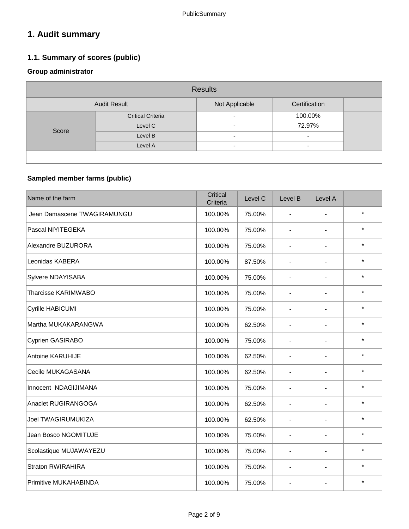# **1. Audit summary**

## **1.1. Summary of scores (public)**

## **Group administrator**

| <b>Results</b>                                         |                          |                          |                          |  |  |  |  |
|--------------------------------------------------------|--------------------------|--------------------------|--------------------------|--|--|--|--|
| Not Applicable<br>Certification<br><b>Audit Result</b> |                          |                          |                          |  |  |  |  |
| Score                                                  | <b>Critical Criteria</b> | $\overline{\phantom{0}}$ | 100.00%                  |  |  |  |  |
|                                                        | Level C                  | $\overline{\phantom{0}}$ | 72.97%                   |  |  |  |  |
|                                                        | Level B                  | $\overline{\phantom{0}}$ | $\overline{\phantom{0}}$ |  |  |  |  |
|                                                        | Level A                  | $\overline{\phantom{0}}$ | $\overline{\phantom{0}}$ |  |  |  |  |
|                                                        |                          |                          |                          |  |  |  |  |

## **Sampled member farms (public)**

| Name of the farm             | Critical<br>Criteria | Level C | Level B                  | Level A        |         |
|------------------------------|----------------------|---------|--------------------------|----------------|---------|
| Jean Damascene TWAGIRAMUNGU  | 100.00%              | 75.00%  | $\blacksquare$           |                | $\star$ |
| Pascal NIYITEGEKA            | 100.00%              | 75.00%  | $\overline{\phantom{0}}$ | $\blacksquare$ | $\star$ |
| Alexandre BUZURORA           | 100.00%              | 75.00%  | $\blacksquare$           | $\blacksquare$ | $\star$ |
| Leonidas KABERA              | 100.00%              | 87.50%  | $\blacksquare$           |                | $\star$ |
| Sylvere NDAYISABA            | 100.00%              | 75.00%  | $\blacksquare$           |                | $\star$ |
| Tharcisse KARIMWABO          | 100.00%              | 75.00%  | $\overline{a}$           |                | $\star$ |
| Cyrille HABICUMI             | 100.00%              | 75.00%  | $\overline{a}$           |                | $\star$ |
| Martha MUKAKARANGWA          | 100.00%              | 62.50%  | -                        |                | $\star$ |
| Cyprien GASIRABO             | 100.00%              | 75.00%  | ÷,                       |                | $\star$ |
| Antoine KARUHIJE             | 100.00%              | 62.50%  | $\blacksquare$           |                | $\star$ |
| Cecile MUKAGASANA            | 100.00%              | 62.50%  | $\blacksquare$           |                | $\star$ |
| Innocent NDAGIJIMANA         | 100.00%              | 75.00%  | $\overline{a}$           |                | $\star$ |
| Anaclet RUGIRANGOGA          | 100.00%              | 62.50%  | Ξ.                       | $\blacksquare$ | $\star$ |
| <b>Joel TWAGIRUMUKIZA</b>    | 100.00%              | 62.50%  | ÷,                       | $\overline{a}$ | $\star$ |
| Jean Bosco NGOMITUJE         | 100.00%              | 75.00%  | $\overline{a}$           |                | $\star$ |
| Scolastique MUJAWAYEZU       | 100.00%              | 75.00%  | $\blacksquare$           | $\blacksquare$ | $\star$ |
| <b>Straton RWIRAHIRA</b>     | 100.00%              | 75.00%  | $\blacksquare$           | $\blacksquare$ | $\star$ |
| <b>Primitive MUKAHABINDA</b> | 100.00%              | 75.00%  | $\overline{a}$           | $\blacksquare$ | $\star$ |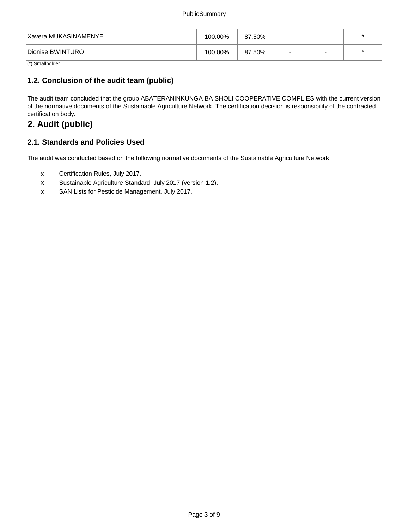| Xavera MUKASINAMENYE | 100.00% | 87.50% | $\overline{\phantom{0}}$ |  |
|----------------------|---------|--------|--------------------------|--|
| Dionise BWINTURO     | 100.00% | 87.50% | $\,$ $\,$                |  |

(\*) Smallholder

### **1.2. Conclusion of the audit team (public)**

The audit team concluded that the group ABATERANINKUNGA BA SHOLI COOPERATIVE COMPLIES with the current version of the normative documents of the Sustainable Agriculture Network. The certification decision is responsibility of the contracted certification body.

## **2. Audit (public)**

### **2.1. Standards and Policies Used**

The audit was conducted based on the following normative documents of the Sustainable Agriculture Network:

- X Certification Rules, July 2017.
- X Sustainable Agriculture Standard, July 2017 (version 1.2).
- X SAN Lists for Pesticide Management, July 2017.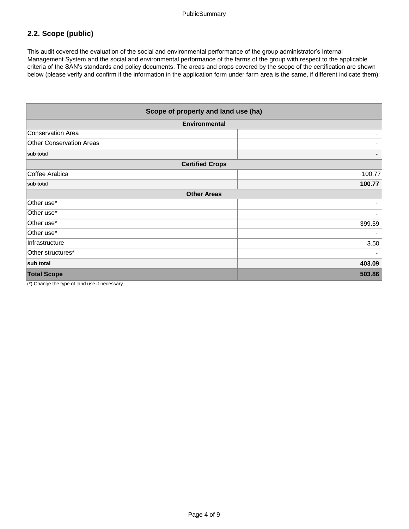## **2.2. Scope (public)**

This audit covered the evaluation of the social and environmental performance of the group administrator's Internal Management System and the social and environmental performance of the farms of the group with respect to the applicable criteria of the SAN's standards and policy documents. The areas and crops covered by the scope of the certification are shown below (please verify and confirm if the information in the application form under farm area is the same, if different indicate them):

| Scope of property and land use (ha) |        |  |
|-------------------------------------|--------|--|
| <b>Environmental</b>                |        |  |
| <b>Conservation Area</b>            |        |  |
| <b>Other Conservation Areas</b>     |        |  |
| sub total                           |        |  |
| <b>Certified Crops</b>              |        |  |
| Coffee Arabica                      | 100.77 |  |
| sub total                           | 100.77 |  |
| <b>Other Areas</b>                  |        |  |
| Other use*                          |        |  |
| Other use*                          |        |  |
| Other use*                          | 399.59 |  |
| Other use*                          |        |  |
| Infrastructure                      | 3.50   |  |
| Other structures*                   |        |  |
| sub total                           | 403.09 |  |
| <b>Total Scope</b>                  | 503.86 |  |

(\*) Change the type of land use if necessary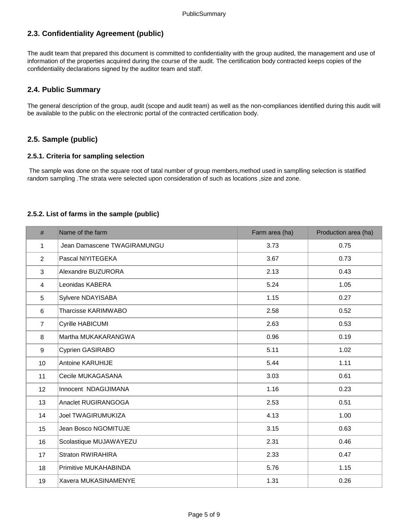## **2.3. Confidentiality Agreement (public)**

The audit team that prepared this document is committed to confidentiality with the group audited, the management and use of information of the properties acquired during the course of the audit. The certification body contracted keeps copies of the confidentiality declarations signed by the auditor team and staff.

#### **2.4. Public Summary**

The general description of the group, audit (scope and audit team) as well as the non-compliances identified during this audit will be available to the public on the electronic portal of the contracted certification body.

#### **2.5. Sample (public)**

#### **2.5.1. Criteria for sampling selection**

 The sample was done on the square root of tatal number of group members,method used in samplling selection is statified random sampling .The strata were selected upon consideration of such as locations ,size and zone.

#### **2.5.2. List of farms in the sample (public)**

| $\#$             | Name of the farm             | Farm area (ha) | Production area (ha) |
|------------------|------------------------------|----------------|----------------------|
| 1                | Jean Damascene TWAGIRAMUNGU  | 3.73           | 0.75                 |
| $\overline{2}$   | Pascal NIYITEGEKA            | 3.67           | 0.73                 |
| 3                | Alexandre BUZURORA           | 2.13           | 0.43                 |
| $\overline{4}$   | Leonidas KABERA              | 5.24           | 1.05                 |
| 5                | Sylvere NDAYISABA            | 1.15           | 0.27                 |
| 6                | Tharcisse KARIMWABO          | 2.58           | 0.52                 |
| $\overline{7}$   | <b>Cyrille HABICUMI</b>      | 2.63           | 0.53                 |
| 8                | Martha MUKAKARANGWA          | 0.96           | 0.19                 |
| $\boldsymbol{9}$ | Cyprien GASIRABO             | 5.11           | 1.02                 |
| 10               | Antoine KARUHIJE             | 5.44           | 1.11                 |
| 11               | Cecile MUKAGASANA            | 3.03           | 0.61                 |
| 12               | Innocent NDAGIJIMANA         | 1.16           | 0.23                 |
| 13               | Anaclet RUGIRANGOGA          | 2.53           | 0.51                 |
| 14               | <b>Joel TWAGIRUMUKIZA</b>    | 4.13           | 1.00                 |
| 15               | Jean Bosco NGOMITUJE         | 3.15           | 0.63                 |
| 16               | Scolastique MUJAWAYEZU       | 2.31           | 0.46                 |
| 17               | <b>Straton RWIRAHIRA</b>     | 2.33           | 0.47                 |
| 18               | <b>Primitive MUKAHABINDA</b> | 5.76           | 1.15                 |
| 19               | Xavera MUKASINAMENYE         | 1.31           | 0.26                 |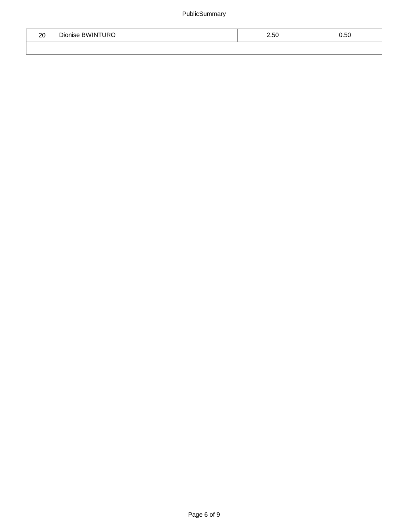| ററ<br>∠∪ | <b>BWINTURO</b><br><b>SIDE</b><br> Dionise | 2.50 | 0.50 |  |
|----------|--------------------------------------------|------|------|--|
|          |                                            |      |      |  |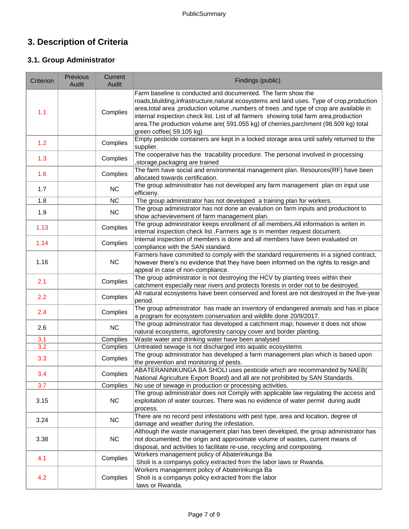# **3. Description of Criteria**

## **3.1. Group Administrator**

| Criterion | Previous<br>Audit | Current<br>Audit | Findings (public)                                                                                                                                                                                                                                                                                                                                                                                                                                                        |
|-----------|-------------------|------------------|--------------------------------------------------------------------------------------------------------------------------------------------------------------------------------------------------------------------------------------------------------------------------------------------------------------------------------------------------------------------------------------------------------------------------------------------------------------------------|
| 1.1       |                   | Complies         | Farm baseline is conducted and documented. The farm show the<br>roads, bluilding, infrastructure, natural ecosystems and land uses. Type of crop, production<br>area, total area, production volume, numbers of trees, and type of crop are available in<br>internal inspection check list. List of all farmers showing total farm area, production<br>area. The production volume are( 591.055 kg) of cherries, parchment (98.509 kg) total<br>green coffee( 59.105 kg) |
| 1.2       |                   | Complies         | Empty pesticide containers are kept in a locked storage area until safely returned to the<br>supplier.                                                                                                                                                                                                                                                                                                                                                                   |
| 1.3       |                   | Complies         | The cooperative has the tracability procedure. The personal involved in processing<br>storage, packaging are trained                                                                                                                                                                                                                                                                                                                                                     |
| 1.6       |                   | Complies         | The farm have social and environmental management plan. Resources(RF) have been<br>allocated towards certification.                                                                                                                                                                                                                                                                                                                                                      |
| 1.7       |                   | <b>NC</b>        | The group adminisitrator has not developed any farm management plan on input use<br>efficieny.                                                                                                                                                                                                                                                                                                                                                                           |
| 1.8       |                   | <b>NC</b>        | The group administrator has not developed a training plan for workers.                                                                                                                                                                                                                                                                                                                                                                                                   |
| 1.9       |                   | NC               | The group administrator has not done an evalution on farm inputs and productiont to<br>show achievievement of farm management plan.                                                                                                                                                                                                                                                                                                                                      |
| 1.13      |                   | Complies         | The group administrator keeps enrollment of all members. All information is writen in<br>internal inspection check list .Farmers age is in member request document.                                                                                                                                                                                                                                                                                                      |
| 1.14      |                   | Complies         | Internal inspection of members is done and all members have been evaluated on<br>compliance with the SAN standard.                                                                                                                                                                                                                                                                                                                                                       |
| 1.16      |                   | NC               | Farmers have committed to comply with the standard requirements in a signed contract,<br>however there's no evidence that they have been informed on the rights to resign and<br>appeal in case of non-compliance.                                                                                                                                                                                                                                                       |
| 2.1       |                   | Complies         | The group administrator is not destroying the HCV by planting trees within their<br>catchment especially near rivers and protects forests in order not to be destroyed.                                                                                                                                                                                                                                                                                                  |
| 2.2       |                   | Complies         | All natural ecosystems have been conserved and forest are not destroyed in the five-year<br>period.                                                                                                                                                                                                                                                                                                                                                                      |
| 2.4       |                   | Complies         | The group administrator has made an inventory of endangered animals and has in place<br>a program for ecosystem conservation and wildlife done 20/9/2017.                                                                                                                                                                                                                                                                                                                |
| 2.6       |                   | NC               | The group administrator has developed a catchment map; however it does not show<br>natural ecosystems, agroforestry canopy cover and border planting.                                                                                                                                                                                                                                                                                                                    |
| 3.1       |                   | Complies         | Waste water and drinking water have been analysed                                                                                                                                                                                                                                                                                                                                                                                                                        |
| 3.2       |                   | Complies         | Untreated sewage is not discharged into aquatic ecosystems                                                                                                                                                                                                                                                                                                                                                                                                               |
| 3.3       |                   | Complies         | The group administrator has developed a farm management plan which is based upon<br>the prevention and monitoring of pests.                                                                                                                                                                                                                                                                                                                                              |
| 3.4       |                   | Complies         | ABATERANINKUNGA BA SHOLI uses pesticide which are recommanded by NAEB(<br>National Agriculture Export Board) and all are not prohibited by SAN Standards.                                                                                                                                                                                                                                                                                                                |
| 3.7       |                   | Complies         | No use of sewage in production or processing activities.                                                                                                                                                                                                                                                                                                                                                                                                                 |
| 3.15      |                   | NC               | The group administrator does not Comply with applicable law regulating the access and<br>exploitation of water sources. There was no evidence of water permit during audit<br>process.                                                                                                                                                                                                                                                                                   |
| 3.24      |                   | NC               | There are no record pest infestations with pest type, area and location, degree of<br>damage and weather during the infestation.                                                                                                                                                                                                                                                                                                                                         |
| 3.38      |                   | NC               | Although the waste management plan has been developed, the group administrator has<br>not documented; the origin and approximate volume of wastes, current means of<br>disposal, and activities to facilitate re-use, recycling and composting.                                                                                                                                                                                                                          |
| 4.1       |                   | Complies         | Workers management policy of Abaterinkunga Ba<br>Sholi is a companys policy extracted from the labor laws or Rwanda.                                                                                                                                                                                                                                                                                                                                                     |
| 4.2       |                   | Complies         | Workers management policy of Abaterinkunga Ba<br>Sholi is a companys policy extracted from the labor<br>laws or Rwanda.                                                                                                                                                                                                                                                                                                                                                  |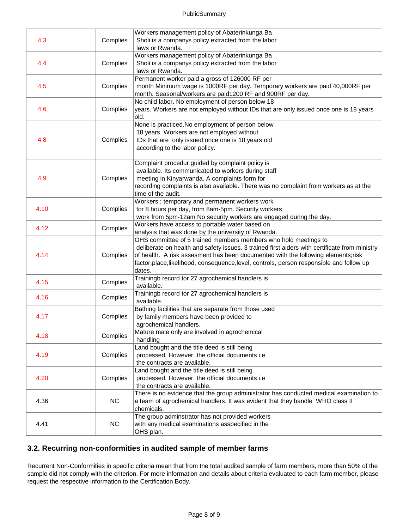| 4.3  | Complies  | Workers management policy of Abaterinkunga Ba<br>Sholi is a companys policy extracted from the labor<br>laws or Rwanda.                                                                                                                                                                                                                                     |
|------|-----------|-------------------------------------------------------------------------------------------------------------------------------------------------------------------------------------------------------------------------------------------------------------------------------------------------------------------------------------------------------------|
| 4.4  | Complies  | Workers management policy of Abaterinkunga Ba<br>Sholi is a companys policy extracted from the labor<br>laws or Rwanda.                                                                                                                                                                                                                                     |
| 4.5  | Complies  | Permanent worker paid a gross of 126000 RF per<br>month Minimum wage is 1000RF per day. Temporary workers are paid 40,000RF per<br>month. Seasonal/workers are paid1200 RF and 900RF per day.                                                                                                                                                               |
| 4.6  | Complies  | No child labor. No employment of person below 18<br>years. Workers are not employed without IDs that are only issued once one is 18 years<br>lold.                                                                                                                                                                                                          |
| 4.8  | Complies  | None is practiced. No employment of person below<br>18 years. Workers are not employed without<br>IDs that are only issued once one is 18 years old<br>according to the labor policy.                                                                                                                                                                       |
| 4.9  | Complies  | Complaint procedur guided by complaint policy is<br>available. Its communicated to workers during staff<br>meeting in Kinyarwanda. A complaints form for<br>recording complaints is also available. There was no complaint from workers as at the<br>time of the audit.                                                                                     |
| 4.10 | Complies  | Workers; temporary and permanent workers work<br>for 8 hours per day, from 8am-5pm. Security workers<br>work from 5pm-12am No security workers are engaged during the day.                                                                                                                                                                                  |
| 4.12 | Complies  | Workers have access to portable water based on<br>analysis that was done by the university of Rwanda.                                                                                                                                                                                                                                                       |
| 4.14 | Complies  | OHS committee of 5 trained members members who hold meetings to<br>deliberate on health and safety issues. 3 trained first aiders with certificate from ministry<br>of health. A risk assesment has been documented with the following elements;risk<br>factor, place, likelihood, consequence, level, controls, person responsible and follow up<br>dates. |
| 4.15 | Complies  | Trainingb record tor 27 agrochemical handlers is<br>available.                                                                                                                                                                                                                                                                                              |
| 4.16 | Complies  | Trainingb record tor 27 agrochemical handlers is<br>available.                                                                                                                                                                                                                                                                                              |
| 4.17 | Complies  | Bathing facilities that are separate from those used<br>by family members have been provided to<br>agrochemical handlers.                                                                                                                                                                                                                                   |
| 4.18 | Complies  | Mature male only are involved in agrochemical<br>handling                                                                                                                                                                                                                                                                                                   |
| 4.19 | Complies  | Land bought and the title deed is still being<br>processed. However, the official documents i.e<br>the contracts are available.                                                                                                                                                                                                                             |
| 4.20 | Complies  | Land bought and the title deed is still being<br>processed. However, the official documents i.e<br>the contracts are available.                                                                                                                                                                                                                             |
| 4.36 | <b>NC</b> | There is no evidence that the group administrator has conducted medical examination to<br>a team of agrochemical handlers. It was evident that they handle WHO class II<br>chemicals.                                                                                                                                                                       |
| 4.41 | NC        | The group adminstrator has not provided workers<br>with any medical examinations asspecified in the<br>OHS plan.                                                                                                                                                                                                                                            |

#### **3.2. Recurring non-conformities in audited sample of member farms**

Recurrent Non-Conformities in specific criteria mean that from the total audited sample of farm members, more than 50% of the sample did not comply with the criterion. For more information and details about criteria evaluated to each farm member, please request the respective information to the Certification Body.